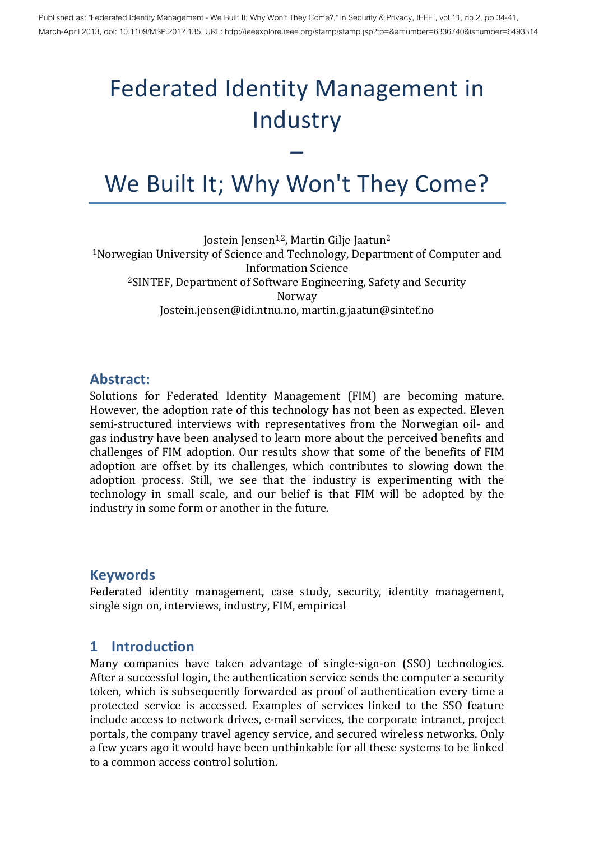# Federated Identity Management in Industry

## We Built It; Why Won't They Come?

–

Jostein Jensen<sup>1,2</sup>, Martin Gilje Jaatun<sup>2</sup> <sup>1</sup>Norwegian University of Science and Technology, Department of Computer and Information Science <sup>2</sup>SINTEF, Department of Software Engineering, Safety and Security Norway Jostein.jensen@idi.ntnu.no, martin.g.jaatun@sintef.no

#### **Abstract:**

Solutions for Federated Identity Management (FIM) are becoming mature. However, the adoption rate of this technology has not been as expected. Eleven semi-structured interviews with representatives from the Norwegian oil- and gas industry have been analysed to learn more about the perceived benefits and challenges of FIM adoption. Our results show that some of the benefits of FIM adoption are offset by its challenges, which contributes to slowing down the adoption process. Still, we see that the industry is experimenting with the technology in small scale, and our belief is that FIM will be adopted by the industry in some form or another in the future.

#### **Keywords**

Federated identity management, case study, security, identity management, single sign on, interviews, industry, FIM, empirical

#### **1 Introduction**

Many companies have taken advantage of single-sign-on (SSO) technologies. After a successful login, the authentication service sends the computer a security token, which is subsequently forwarded as proof of authentication every time a protected service is accessed. Examples of services linked to the SSO feature include access to network drives, e-mail services, the corporate intranet, project portals, the company travel agency service, and secured wireless networks. Only a few years ago it would have been unthinkable for all these systems to be linked to a common access control solution.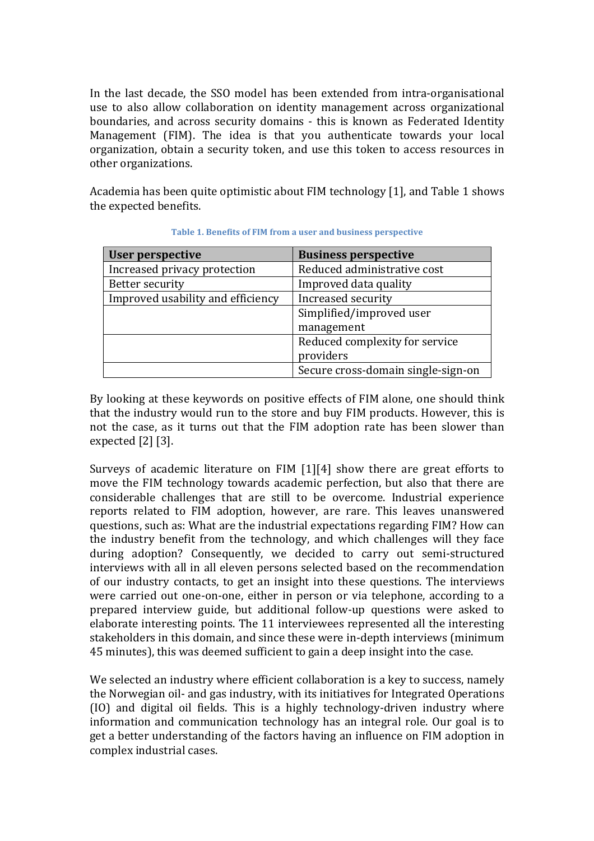In the last decade, the SSO model has been extended from intra-organisational use to also allow collaboration on identity management across organizational boundaries, and across security domains - this is known as Federated Identity Management (FIM). The idea is that you authenticate towards your local organization, obtain a security token, and use this token to access resources in other organizations.

Academia has been quite optimistic about FIM technology [1], and Table 1 shows the expected benefits.

| <b>User perspective</b>           | <b>Business perspective</b>        |
|-----------------------------------|------------------------------------|
| Increased privacy protection      | Reduced administrative cost        |
| Better security                   | Improved data quality              |
| Improved usability and efficiency | Increased security                 |
|                                   | Simplified/improved user           |
|                                   | management                         |
|                                   | Reduced complexity for service     |
|                                   | providers                          |
|                                   | Secure cross-domain single-sign-on |

Table 1. Benefits of FIM from a user and business perspective

By looking at these keywords on positive effects of FIM alone, one should think that the industry would run to the store and buy FIM products. However, this is not the case, as it turns out that the FIM adoption rate has been slower than expected  $[2]$   $[3]$ .

Surveys of academic literature on  $FIM [1][4]$  show there are great efforts to move the FIM technology towards academic perfection, but also that there are considerable challenges that are still to be overcome. Industrial experience reports related to FIM adoption, however, are rare. This leaves unanswered questions, such as: What are the industrial expectations regarding FIM? How can the industry benefit from the technology, and which challenges will they face during adoption? Consequently, we decided to carry out semi-structured interviews with all in all eleven persons selected based on the recommendation of our industry contacts, to get an insight into these questions. The interviews were carried out one-on-one, either in person or via telephone, according to a prepared interview guide, but additional follow-up questions were asked to elaborate interesting points. The 11 interviewees represented all the interesting stakeholders in this domain, and since these were in-depth interviews (minimum 45 minutes), this was deemed sufficient to gain a deep insight into the case.

We selected an industry where efficient collaboration is a key to success, namely the Norwegian oil- and gas industry, with its initiatives for Integrated Operations (IO) and digital oil fields. This is a highly technology-driven industry where information and communication technology has an integral role. Our goal is to get a better understanding of the factors having an influence on FIM adoption in complex industrial cases.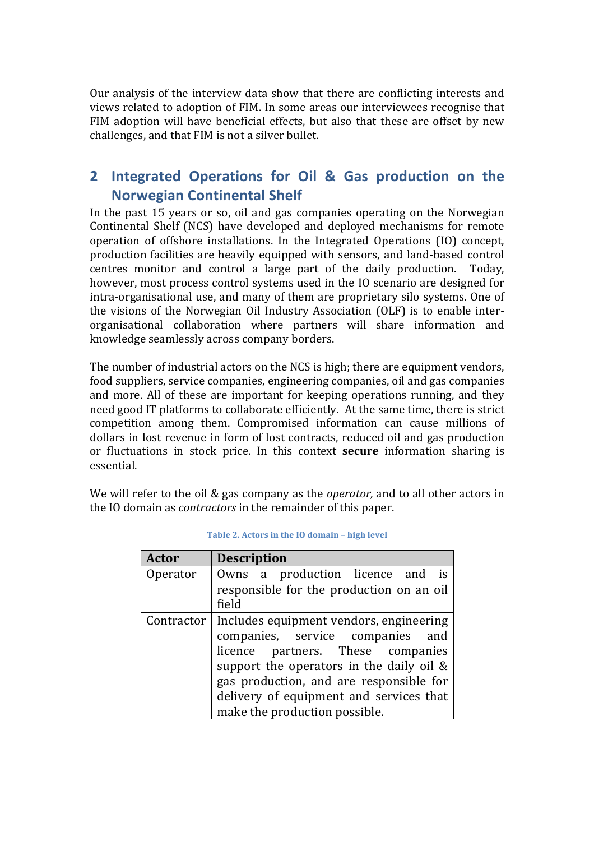Our analysis of the interview data show that there are conflicting interests and views related to adoption of FIM. In some areas our interviewees recognise that FIM adoption will have beneficial effects, but also that these are offset by new challenges, and that FIM is not a silver bullet.

## 2 Integrated Operations for Oil & Gas production on the **Norwegian Continental Shelf**

In the past 15 years or so, oil and gas companies operating on the Norwegian Continental Shelf (NCS) have developed and deployed mechanisms for remote operation of offshore installations. In the Integrated Operations (IO) concept, production facilities are heavily equipped with sensors, and land-based control centres monitor and control a large part of the daily production. Today, however, most process control systems used in the IO scenario are designed for intra-organisational use, and many of them are proprietary silo systems. One of the visions of the Norwegian Oil Industry Association (OLF) is to enable interorganisational collaboration where partners will share information and knowledge seamlessly across company borders.

The number of industrial actors on the NCS is high; there are equipment vendors, food suppliers, service companies, engineering companies, oil and gas companies and more. All of these are important for keeping operations running, and they need good IT platforms to collaborate efficiently. At the same time, there is strict competition among them. Compromised information can cause millions of dollars in lost revenue in form of lost contracts, reduced oil and gas production or fluctuations in stock price. In this context **secure** information sharing is essential.

We will refer to the oil & gas company as the *operator*, and to all other actors in the IO domain as *contractors* in the remainder of this paper.

| Actor    | <b>Description</b>                                                           |  |  |  |  |
|----------|------------------------------------------------------------------------------|--|--|--|--|
| Operator | Owns a production licence and is<br>responsible for the production on an oil |  |  |  |  |
|          | field                                                                        |  |  |  |  |
|          | Contractor   Includes equipment vendors, engineering                         |  |  |  |  |
|          | companies, service companies and                                             |  |  |  |  |
|          | licence partners. These companies                                            |  |  |  |  |
|          | support the operators in the daily oil $\&$                                  |  |  |  |  |
|          | gas production, and are responsible for                                      |  |  |  |  |
|          | delivery of equipment and services that                                      |  |  |  |  |
|          | make the production possible.                                                |  |  |  |  |

| Table 2. Actors in the IO domain - high level |  |  |  |
|-----------------------------------------------|--|--|--|
|-----------------------------------------------|--|--|--|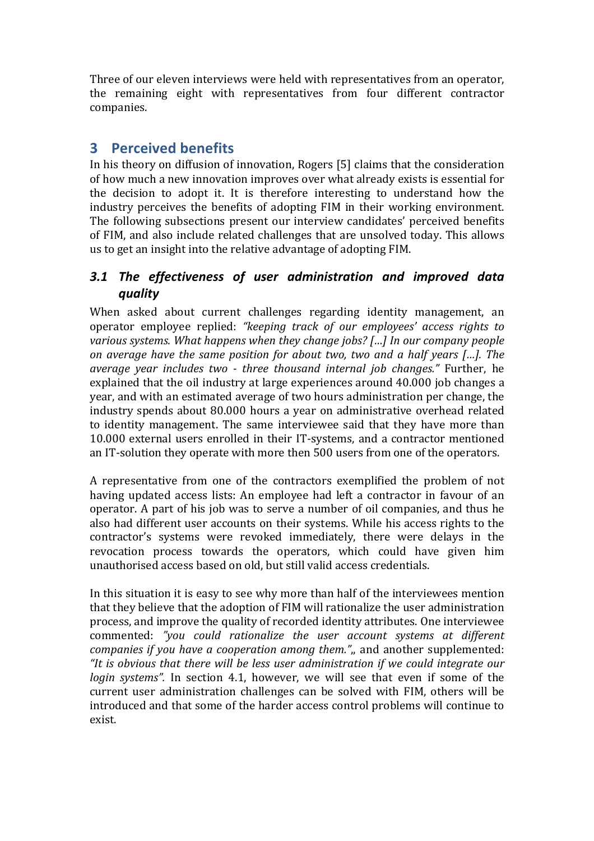Three of our eleven interviews were held with representatives from an operator, the remaining eight with representatives from four different contractor companies. 

## **3 Perceived benefits**

In his theory on diffusion of innovation, Rogers [5] claims that the consideration of how much a new innovation improves over what already exists is essential for the decision to adopt it. It is therefore interesting to understand how the industry perceives the benefits of adopting FIM in their working environment. The following subsections present our interview candidates' perceived benefits of FIM, and also include related challenges that are unsolved today. This allows us to get an insight into the relative advantage of adopting FIM.

#### *3.1 The effectiveness of user administration and improved data quality*

When asked about current challenges regarding identity management, an operator employee replied: "keeping track of our employees' access rights to *various systems.* What happens when they change *jobs?* [...] In our company people *on average have the same position for about two, two and a half years […]. The average vear includes two - three thousand internal iob changes.*" Further, he explained that the oil industry at large experiences around 40.000 iob changes a year, and with an estimated average of two hours administration per change, the industry spends about 80.000 hours a year on administrative overhead related to identity management. The same interviewee said that they have more than 10.000 external users enrolled in their IT-systems, and a contractor mentioned an IT-solution they operate with more then 500 users from one of the operators.

A representative from one of the contractors exemplified the problem of not having updated access lists: An employee had left a contractor in favour of an operator. A part of his job was to serve a number of oil companies, and thus he also had different user accounts on their systems. While his access rights to the contractor's systems were revoked immediately, there were delays in the revocation process towards the operators, which could have given him unauthorised access based on old, but still valid access credentials.

In this situation it is easy to see why more than half of the interviewees mention that they believe that the adoption of FIM will rationalize the user administration process, and improve the quality of recorded identity attributes. One interviewee commented: "you could rationalize the user account systems at different *companies if you have a cooperation among them."*, and another supplemented: "It is obvious that there will be less user administration if we could integrate our *login* systems". In section 4.1, however, we will see that even if some of the current user administration challenges can be solved with FIM, others will be introduced and that some of the harder access control problems will continue to exist.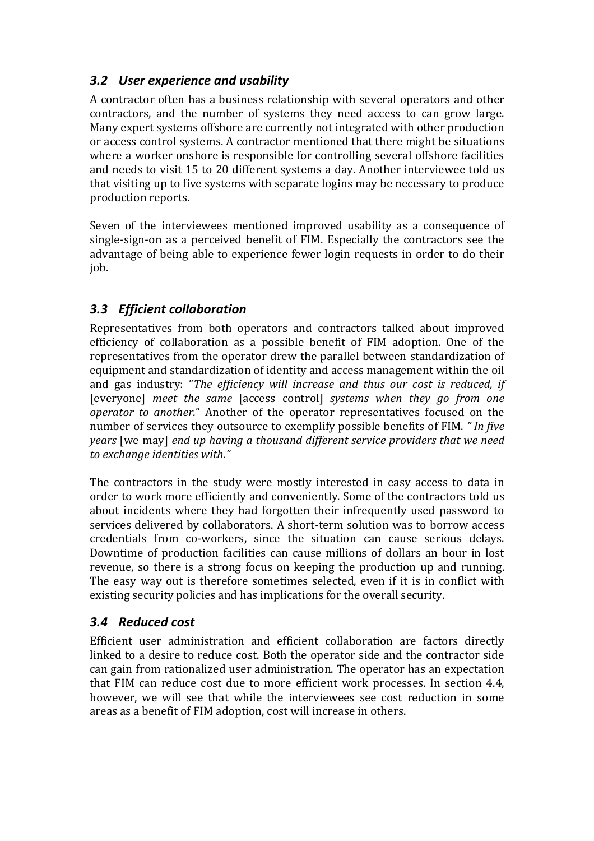#### **3.2** User experience and usability

A contractor often has a business relationship with several operators and other contractors, and the number of systems they need access to can grow large. Many expert systems offshore are currently not integrated with other production or access control systems. A contractor mentioned that there might be situations where a worker onshore is responsible for controlling several offshore facilities and needs to visit 15 to 20 different systems a day. Another interviewee told us that visiting up to five systems with separate logins may be necessary to produce production reports.

Seven of the interviewees mentioned improved usability as a consequence of single-sign-on as a perceived benefit of FIM. Especially the contractors see the advantage of being able to experience fewer login requests in order to do their job.

#### **3.3** Efficient collaboration

Representatives from both operators and contractors talked about improved efficiency of collaboration as a possible benefit of FIM adoption. One of the representatives from the operator drew the parallel between standardization of equipment and standardization of identity and access management within the oil and gas industry: "The efficiency will increase and thus our cost is reduced, if **[everyone]** meet the same [access control] systems when they go from one *operator to another.*" Another of the operator representatives focused on the number of services they outsource to exemplify possible benefits of FIM. "In five *years* [we may] *end up having a thousand different service providers that we need* to exchange *identities* with."

The contractors in the study were mostly interested in easy access to data in order to work more efficiently and conveniently. Some of the contractors told us about incidents where they had forgotten their infrequently used password to services delivered by collaborators. A short-term solution was to borrow access credentials from co-workers, since the situation can cause serious delays. Downtime of production facilities can cause millions of dollars an hour in lost revenue, so there is a strong focus on keeping the production up and running. The easy way out is therefore sometimes selected, even if it is in conflict with existing security policies and has implications for the overall security.

#### *3.4 Reduced cost*

Efficient user administration and efficient collaboration are factors directly linked to a desire to reduce cost. Both the operator side and the contractor side can gain from rationalized user administration. The operator has an expectation that  $FIM$  can reduce cost due to more efficient work processes. In section 4.4, however, we will see that while the interviewees see cost reduction in some areas as a benefit of FIM adoption, cost will increase in others.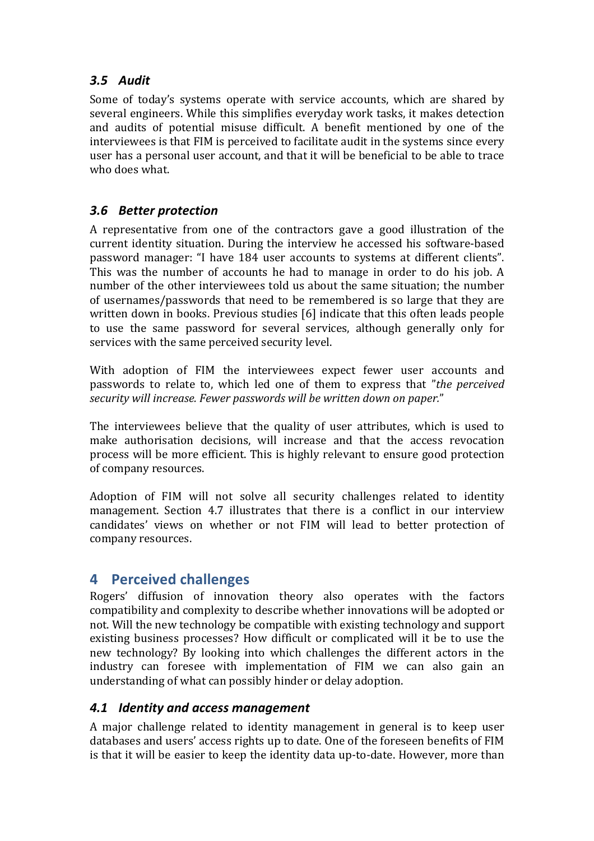#### *3.5 Audit*

Some of today's systems operate with service accounts, which are shared by several engineers. While this simplifies everyday work tasks, it makes detection and audits of potential misuse difficult. A benefit mentioned by one of the interviewees is that FIM is perceived to facilitate audit in the systems since every user has a personal user account, and that it will be beneficial to be able to trace who does what.

#### 3.6 **Better protection**

A representative from one of the contractors gave a good illustration of the current identity situation. During the interview he accessed his software-based password manager: "I have 184 user accounts to systems at different clients". This was the number of accounts he had to manage in order to do his job. A number of the other interviewees told us about the same situation; the number of usernames/passwords that need to be remembered is so large that they are written down in books. Previous studies [6] indicate that this often leads people to use the same password for several services, although generally only for services with the same perceived security level.

With adoption of FIM the interviewees expect fewer user accounts and passwords to relate to, which led one of them to express that "*the perceived* security will increase. Fewer passwords will be written down on paper."

The interviewees believe that the quality of user attributes, which is used to make authorisation decisions, will increase and that the access revocation process will be more efficient. This is highly relevant to ensure good protection of company resources.

Adoption of FIM will not solve all security challenges related to identity management. Section 4.7 illustrates that there is a conflict in our interview candidates' views on whether or not FIM will lead to better protection of company resources.

## **4 Perceived challenges**

Rogers' diffusion of innovation theory also operates with the factors compatibility and complexity to describe whether innovations will be adopted or not. Will the new technology be compatible with existing technology and support existing business processes? How difficult or complicated will it be to use the new technology? By looking into which challenges the different actors in the industry can foresee with implementation of FIM we can also gain an understanding of what can possibly hinder or delay adoption.

#### *4.1 Identity and access management*

A major challenge related to identity management in general is to keep user databases and users' access rights up to date. One of the foreseen benefits of FIM is that it will be easier to keep the identity data up-to-date. However, more than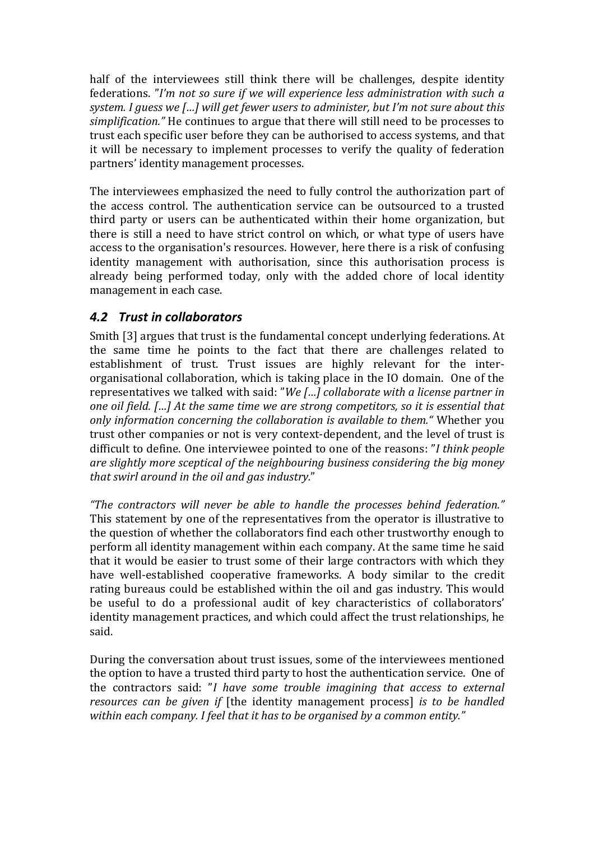half of the interviewees still think there will be challenges, despite identity federations. "I'm not so sure if we will experience less administration with such a *system.* I guess we [...] will get fewer users to administer, but I'm not sure about this *simplification.*" He continues to argue that there will still need to be processes to trust each specific user before they can be authorised to access systems, and that it will be necessary to implement processes to verify the quality of federation partners' identity management processes.

The interviewees emphasized the need to fully control the authorization part of the access control. The authentication service can be outsourced to a trusted third party or users can be authenticated within their home organization, but there is still a need to have strict control on which, or what type of users have access to the organisation's resources. However, here there is a risk of confusing identity management with authorisation, since this authorisation process is already being performed today, only with the added chore of local identity management in each case.

#### **4.2 Trust in collaborators**

Smith [3] argues that trust is the fundamental concept underlying federations. At the same time he points to the fact that there are challenges related to establishment of trust. Trust issues are highly relevant for the interorganisational collaboration, which is taking place in the IO domain. One of the representatives we talked with said: "We [...] collaborate with a license partner in *one oil field.* [...] At the same time we are strong competitors, so it is essential that *only information concerning the collaboration is available to them."* Whether you trust other companies or not is very context-dependent, and the level of trust is difficult to define. One interviewee pointed to one of the reasons: "*I think people* are slightly more sceptical of the neighbouring business considering the big money *that swirl around in the oil and gas industry.*"

*"The contractors will never be able to handle the processes behind federation."* This statement by one of the representatives from the operator is illustrative to the question of whether the collaborators find each other trustworthy enough to perform all identity management within each company. At the same time he said that it would be easier to trust some of their large contractors with which they have well-established cooperative frameworks. A body similar to the credit rating bureaus could be established within the oil and gas industry. This would be useful to do a professional audit of key characteristics of collaborators' identity management practices, and which could affect the trust relationships, he said.

During the conversation about trust issues, some of the interviewees mentioned the option to have a trusted third party to host the authentication service. One of the contractors said: "*I* have some trouble *imagining* that access to external *resources can be given if* [the identity management process] *is to be handled* within each company. I feel that it has to be organised by a common entity."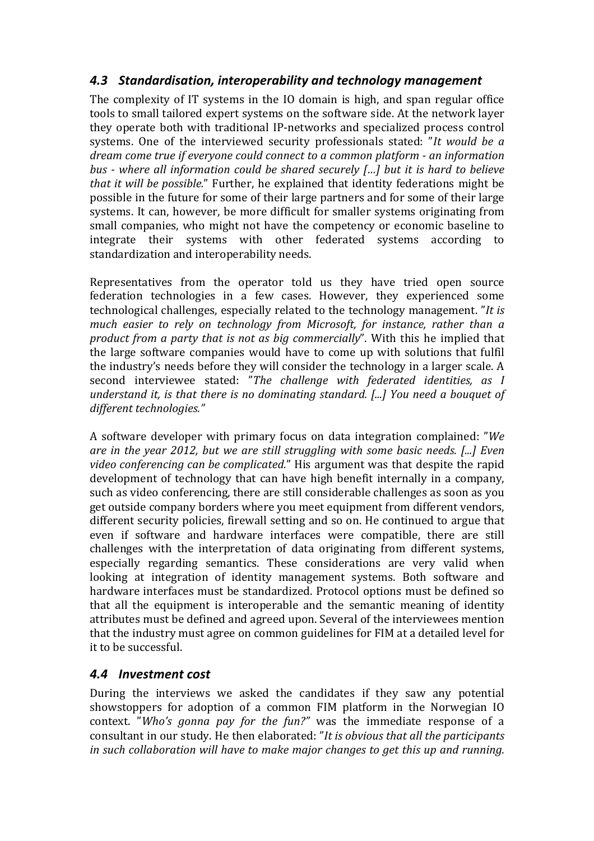#### 4.3 Standardisation, interoperability and technology management

The complexity of IT systems in the IO domain is high, and span regular office tools to small tailored expert systems on the software side. At the network layer they operate both with traditional IP-networks and specialized process control systems. One of the interviewed security professionals stated: "It would be a *dream come true if everyone could connect to a common platform - an information bus* - where all information could be shared securely [...] but it is hard to believe *that it will be possible.*" Further, he explained that identity federations might be possible in the future for some of their large partners and for some of their large systems. It can, however, be more difficult for smaller systems originating from small companies, who might not have the competency or economic baseline to integrate their systems with other federated systems according to standardization and interoperability needs.

Representatives from the operator told us they have tried open source federation technologies in a few cases. However, they experienced some technological challenges, especially related to the technology management. "*It is much easier to rely on technology from Microsoft, for instance, rather than a product from a party that is not as big commercially*". With this he implied that the large software companies would have to come up with solutions that fulfil the industry's needs before they will consider the technology in a larger scale. A second interviewee stated: "The challenge with federated identities, as I *understand it, is that there is no dominating standard. [...] You need a bouquet of different technologies."*

A software developer with primary focus on data integration complained: "*We are in the year 2012, but we are still struggling with some basic needs.* [...] Even *video conferencing can be complicated.*" His argument was that despite the rapid development of technology that can have high benefit internally in a company, such as video conferencing, there are still considerable challenges as soon as you get outside company borders where you meet equipment from different vendors, different security policies, firewall setting and so on. He continued to argue that even if software and hardware interfaces were compatible, there are still challenges with the interpretation of data originating from different systems, especially regarding semantics. These considerations are very valid when looking at integration of identity management systems. Both software and hardware interfaces must be standardized. Protocol options must be defined so that all the equipment is interoperable and the semantic meaning of identity attributes must be defined and agreed upon. Several of the interviewees mention that the industry must agree on common guidelines for FIM at a detailed level for it to be successful.

#### 4.4 **Investment** cost

During the interviews we asked the candidates if they saw any potential showstoppers for adoption of a common FIM platform in the Norwegian  $IQ$ context. "Who's gonna pay for the fun?" was the immediate response of a consultant in our study. He then elaborated: "It is obvious that all the participants *in* such collaboration will have to make major changes to get this up and running.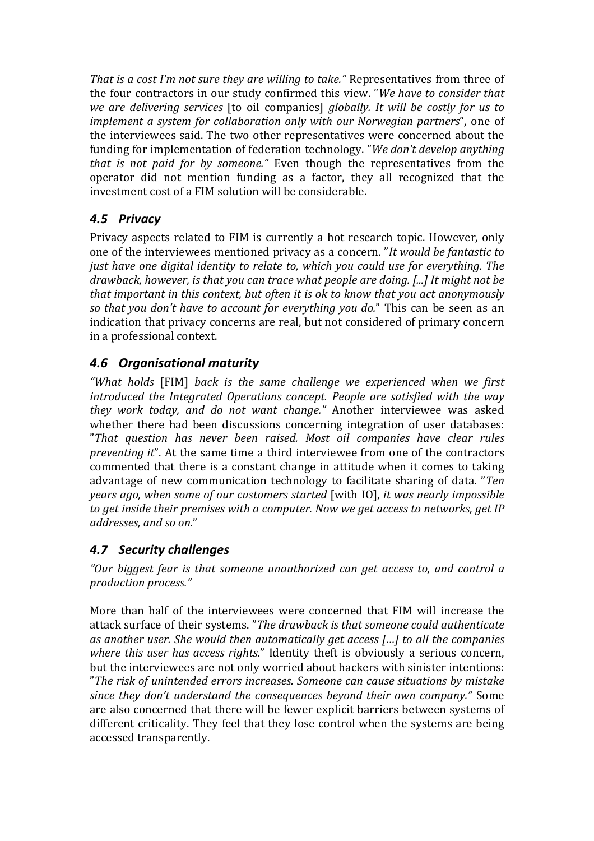*That* is a cost I'm not sure they are willing to take." Representatives from three of the four contractors in our study confirmed this view. "We have to consider that *we are delivering services* [to oil companies] *globally. It will be costly for us to implement a system for collaboration only with our Norwegian partners*", one of the interviewees said. The two other representatives were concerned about the funding for implementation of federation technology. "We don't develop anything *that* is not paid for by someone." Even though the representatives from the operator did not mention funding as a factor, they all recognized that the investment cost of a FIM solution will be considerable.

## *4.5 Privacy*

Privacy aspects related to FIM is currently a hot research topic. However, only one of the interviewees mentioned privacy as a concern. "It would be fantastic to *just have one digital identity to relate to, which you could use for everything. The* drawback, however, is that you can trace what people are doing. [...] It might not be *that important in this context, but often it is ok to know that you act anonymously so that you don't have to account for everything you do.*" This can be seen as an indication that privacy concerns are real, but not considered of primary concern in a professional context.

## *4.6 Organisational maturity*

"What holds [FIM] back is the same challenge we experienced when we first *introduced the Integrated Operations concept. People are satisfied with the way they work today, and do not want change."* Another interviewee was asked whether there had been discussions concerning integration of user databases: "*That question has never been raised. Most oil companies have clear rules preventing it*". At the same time a third interviewee from one of the contractors commented that there is a constant change in attitude when it comes to taking advantage of new communication technology to facilitate sharing of data. "*Ten years ago, when some of our customers started* [with IO], *it was nearly impossible to get inside their premises with a computer. Now we get access to networks, get IP addresses, and so on.*"

## *4.7 Security challenges*

"Our biggest fear is that someone unauthorized can get access to, and control a *production process."* 

More than half of the interviewees were concerned that FIM will increase the attack surface of their systems. "The drawback is that someone could authenticate as another user. She would then automatically get access [...] to all the companies *where this user has access rights.*" Identity theft is obviously a serious concern, but the interviewees are not only worried about hackers with sinister intentions: "The risk of unintended errors increases. Someone can cause situations by mistake *since they don't understand the consequences beyond their own company.*" Some are also concerned that there will be fewer explicit barriers between systems of different criticality. They feel that they lose control when the systems are being accessed transparently.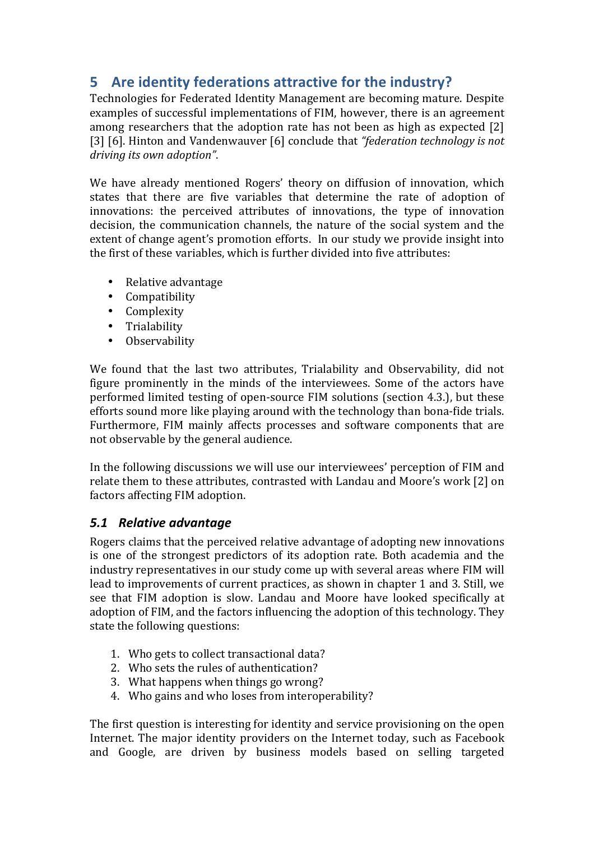## **5** Are identity federations attractive for the industry?

Technologies for Federated Identity Management are becoming mature. Despite examples of successful implementations of FIM, however, there is an agreement among researchers that the adoption rate has not been as high as expected [2] [3] [6]. Hinton and Vandenwauver [6] conclude that "federation technology is not driving its own adoption".

We have already mentioned Rogers' theory on diffusion of innovation, which states that there are five variables that determine the rate of adoption of innovations: the perceived attributes of innovations, the type of innovation decision, the communication channels, the nature of the social system and the extent of change agent's promotion efforts. In our study we provide insight into the first of these variables, which is further divided into five attributes:

- Relative advantage
- Compatibility
- Complexity
- Trialability
- Observability

We found that the last two attributes, Trialability and Observability, did not figure prominently in the minds of the interviewees. Some of the actors have performed limited testing of open-source FIM solutions (section 4.3.), but these efforts sound more like playing around with the technology than bona-fide trials. Furthermore, FIM mainly affects processes and software components that are not observable by the general audience.

In the following discussions we will use our interviewees' perception of FIM and relate them to these attributes, contrasted with Landau and Moore's work [2] on factors affecting FIM adoption.

#### *5.1 Relative advantage*

Rogers claims that the perceived relative advantage of adopting new innovations is one of the strongest predictors of its adoption rate. Both academia and the industry representatives in our study come up with several areas where FIM will lead to improvements of current practices, as shown in chapter 1 and 3. Still, we see that FIM adoption is slow. Landau and Moore have looked specifically at adoption of FIM, and the factors influencing the adoption of this technology. They state the following questions:

- 1. Who gets to collect transactional data?
- 2. Who sets the rules of authentication?
- 3. What happens when things go wrong?
- 4. Who gains and who loses from interoperability?

The first question is interesting for identity and service provisioning on the open Internet. The major identity providers on the Internet today, such as Facebook and Google, are driven by business models based on selling targeted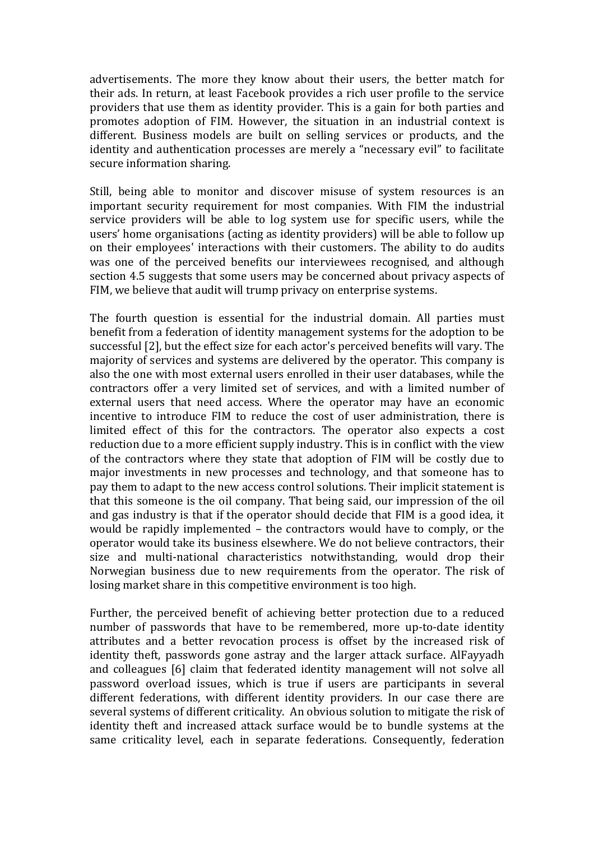advertisements. The more they know about their users, the better match for their ads. In return, at least Facebook provides a rich user profile to the service providers that use them as identity provider. This is a gain for both parties and promotes adoption of FIM. However, the situation in an industrial context is different. Business models are built on selling services or products, and the identity and authentication processes are merely a "necessary evil" to facilitate secure information sharing.

Still, being able to monitor and discover misuse of system resources is an important security requirement for most companies. With FIM the industrial service providers will be able to log system use for specific users, while the users' home organisations (acting as identity providers) will be able to follow up on their employees' interactions with their customers. The ability to do audits was one of the perceived benefits our interviewees recognised, and although section 4.5 suggests that some users may be concerned about privacy aspects of FIM, we believe that audit will trump privacy on enterprise systems.

The fourth question is essential for the industrial domain. All parties must benefit from a federation of identity management systems for the adoption to be successful [2], but the effect size for each actor's perceived benefits will vary. The majority of services and systems are delivered by the operator. This company is also the one with most external users enrolled in their user databases, while the contractors offer a very limited set of services, and with a limited number of external users that need access. Where the operator may have an economic incentive to introduce FIM to reduce the cost of user administration, there is limited effect of this for the contractors. The operator also expects a cost reduction due to a more efficient supply industry. This is in conflict with the view of the contractors where they state that adoption of FIM will be costly due to major investments in new processes and technology, and that someone has to pay them to adapt to the new access control solutions. Their implicit statement is that this someone is the oil company. That being said, our impression of the oil and gas industry is that if the operator should decide that FIM is a good idea, it would be rapidly implemented  $-$  the contractors would have to comply, or the operator would take its business elsewhere. We do not believe contractors, their size and multi-national characteristics notwithstanding, would drop their Norwegian business due to new requirements from the operator. The risk of losing market share in this competitive environment is too high.

Further, the perceived benefit of achieving better protection due to a reduced number of passwords that have to be remembered, more up-to-date identity attributes and a better revocation process is offset by the increased risk of identity theft, passwords gone astray and the larger attack surface. AlFayyadh and colleagues [6] claim that federated identity management will not solve all password overload issues, which is true if users are participants in several different federations, with different identity providers. In our case there are several systems of different criticality. An obvious solution to mitigate the risk of identity theft and increased attack surface would be to bundle systems at the same criticality level, each in separate federations. Consequently, federation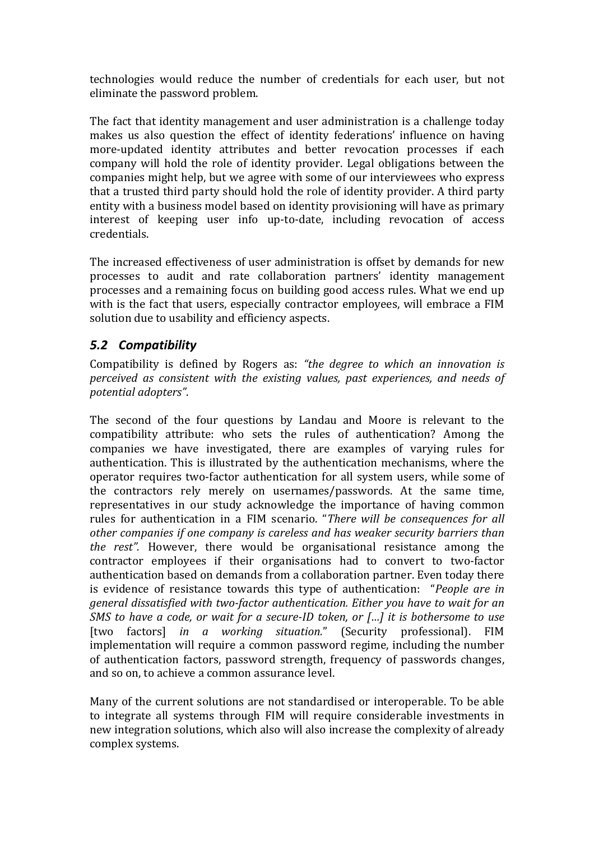technologies would reduce the number of credentials for each user, but not eliminate the password problem.

The fact that identity management and user administration is a challenge today makes us also question the effect of identity federations' influence on having more-updated identity attributes and better revocation processes if each company will hold the role of identity provider. Legal obligations between the companies might help, but we agree with some of our interviewees who express that a trusted third party should hold the role of identity provider. A third party entity with a business model based on identity provisioning will have as primary interest of keeping user info up-to-date, including revocation of access credentials. 

The increased effectiveness of user administration is offset by demands for new processes to audit and rate collaboration partners' identity management processes and a remaining focus on building good access rules. What we end up with is the fact that users, especially contractor employees, will embrace a FIM solution due to usability and efficiency aspects.

#### *5.2 Compatibility*

Compatibility is defined by Rogers as: "the *degree to which an innovation* is *perceived as consistent with the existing values, past experiences, and needs of potential adopters"*.

The second of the four questions by Landau and Moore is relevant to the compatibility attribute: who sets the rules of authentication? Among the companies we have investigated, there are examples of varying rules for authentication. This is illustrated by the authentication mechanisms, where the operator requires two-factor authentication for all system users, while some of the contractors rely merely on usernames/passwords. At the same time, representatives in our study acknowledge the importance of having common rules for authentication in a FIM scenario. "There will be consequences for all other companies if one company is careless and has weaker security barriers than *the rest"*. However, there would be organisational resistance among the contractor employees if their organisations had to convert to two-factor authentication based on demands from a collaboration partner. Even today there is evidence of resistance towards this type of authentication: *"People are in general dissatisfied with two-factor authentication. Either you have to wait for an SMS* to have a code, or wait for a secure-ID token, or [...] it is bothersome to use [two factors] *in a working situation.*" (Security professional). FIM implementation will require a common password regime, including the number of authentication factors, password strength, frequency of passwords changes, and so on, to achieve a common assurance level.

Many of the current solutions are not standardised or interoperable. To be able to integrate all systems through FIM will require considerable investments in new integration solutions, which also will also increase the complexity of already complex systems.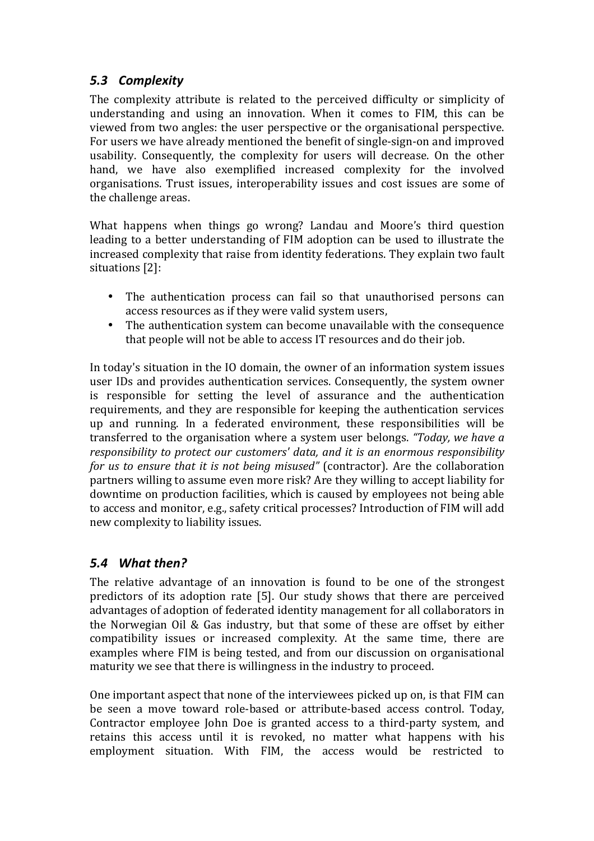#### *5.3 Complexity*

The complexity attribute is related to the perceived difficulty or simplicity of understanding and using an innovation. When it comes to FIM, this can be viewed from two angles: the user perspective or the organisational perspective. For users we have already mentioned the benefit of single-sign-on and improved usability. Consequently, the complexity for users will decrease. On the other hand, we have also exemplified increased complexity for the involved organisations. Trust issues, interoperability issues and cost issues are some of the challenge areas.

What happens when things go wrong? Landau and Moore's third question leading to a better understanding of FIM adoption can be used to illustrate the increased complexity that raise from identity federations. They explain two fault situations [2]: 

- The authentication process can fail so that unauthorised persons can access resources as if they were valid system users,
- The authentication system can become unavailable with the consequence that people will not be able to access IT resources and do their job.

In today's situation in the IO domain, the owner of an information system issues user IDs and provides authentication services. Consequently, the system owner is responsible for setting the level of assurance and the authentication requirements, and they are responsible for keeping the authentication services up and running. In a federated environment, these responsibilities will be transferred to the organisation where a system user belongs. "Today, we have a *responsibility to protect our customers' data, and it is an enormous responsibility for us to ensure that it is not being misused"* (contractor). Are the collaboration partners willing to assume even more risk? Are they willing to accept liability for downtime on production facilities, which is caused by employees not being able to access and monitor, e.g., safety critical processes? Introduction of FIM will add new complexity to liability issues.

#### *5.4 What then?*

The relative advantage of an innovation is found to be one of the strongest predictors of its adoption rate [5]. Our study shows that there are perceived advantages of adoption of federated identity management for all collaborators in the Norwegian Oil & Gas industry, but that some of these are offset by either compatibility issues or increased complexity. At the same time, there are examples where FIM is being tested, and from our discussion on organisational maturity we see that there is willingness in the industry to proceed.

One important aspect that none of the interviewees picked up on, is that FIM can be seen a move toward role-based or attribute-based access control. Today, Contractor employee John Doe is granted access to a third-party system, and retains this access until it is revoked, no matter what happens with his employment situation. With FIM, the access would be restricted to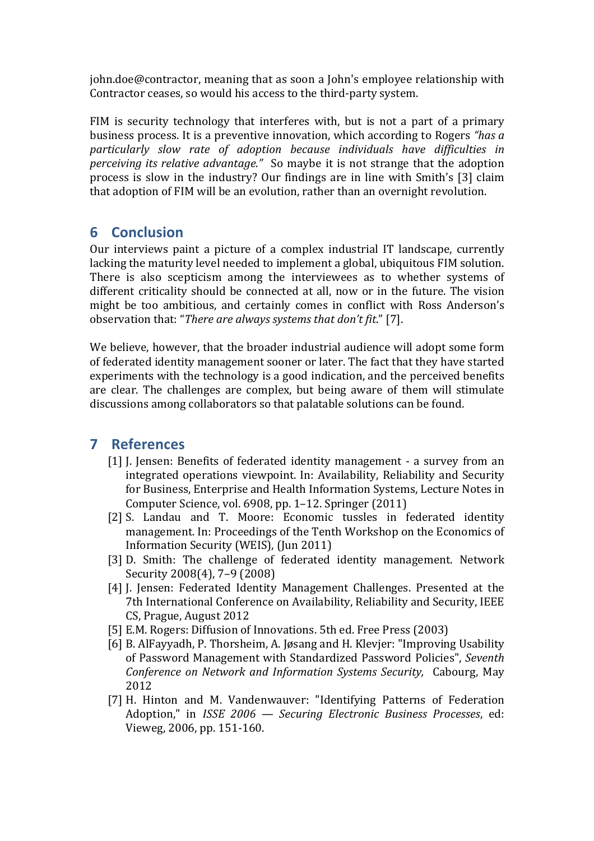john.doe@contractor, meaning that as soon a John's employee relationship with Contractor ceases, so would his access to the third-party system.

FIM is security technology that interferes with, but is not a part of a primary business process. It is a preventive innovation, which according to Rogers *"has a particularly slow rate of adoption because individuals have difficulties in perceiving its relative advantage.*" So maybe it is not strange that the adoption process is slow in the industry? Our findings are in line with Smith's  $[3]$  claim that adoption of FIM will be an evolution, rather than an overnight revolution.

## **6 Conclusion**

Our interviews paint a picture of a complex industrial IT landscape, currently lacking the maturity level needed to implement a global, ubiquitous FIM solution. There is also scepticism among the interviewees as to whether systems of different criticality should be connected at all, now or in the future. The vision might be too ambitious, and certainly comes in conflict with Ross Anderson's observation that: "There are always systems that don't fit." [7].

We believe, however, that the broader industrial audience will adopt some form of federated identity management sooner or later. The fact that they have started experiments with the technology is a good indication, and the perceived benefits are clear. The challenges are complex, but being aware of them will stimulate discussions among collaborators so that palatable solutions can be found.

## **7 References**

- [1] J. Jensen: Benefits of federated identity management a survey from an integrated operations viewpoint. In: Availability, Reliability and Security for Business, Enterprise and Health Information Systems, Lecture Notes in Computer Science, vol. 6908, pp. 1–12. Springer (2011)
- [2] S. Landau and T. Moore: Economic tussles in federated identity management. In: Proceedings of the Tenth Workshop on the Economics of Information Security (WEIS), (Jun 2011)
- [3] D. Smith: The challenge of federated identity management. Network Security 2008(4), 7-9 (2008)
- [4] J. Jensen: Federated Identity Management Challenges. Presented at the 7th International Conference on Availability, Reliability and Security, IEEE CS, Prague, August 2012
- [5] E.M. Rogers: Diffusion of Innovations. 5th ed. Free Press (2003)
- [6] B. AlFayyadh, P. Thorsheim, A. Jøsang and H. Klevier: "Improving Usability of Password Management with Standardized Password Policies", *Seventh Conference on Network and Information Systems Security, Cabourg, May* 2012
- [7] H. Hinton and M. Vandenwauver: "Identifying Patterns of Federation Adoption," in *ISSE 2006* — *Securing Electronic Business Processes*, ed: Vieweg, 2006, pp. 151-160.